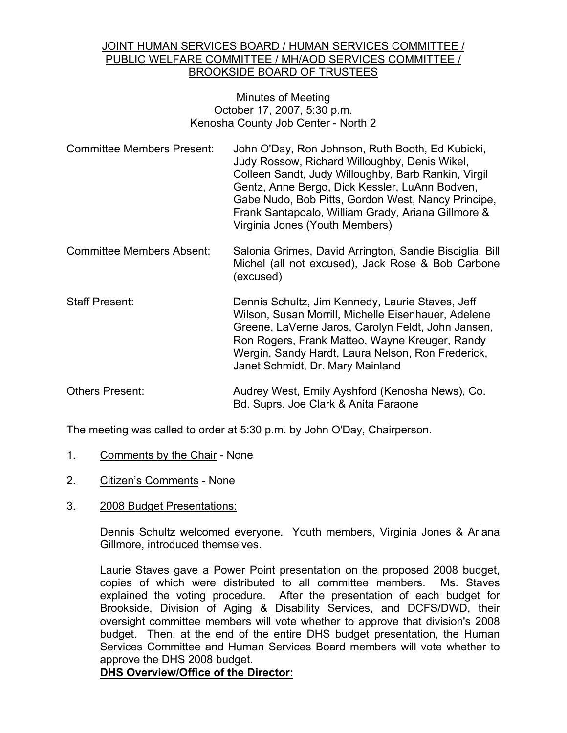## JOINT HUMAN SERVICES BOARD / HUMAN SERVICES COMMITTEE / PUBLIC WELFARE COMMITTEE / MH/AOD SERVICES COMMITTEE / BROOKSIDE BOARD OF TRUSTEES

#### Minutes of Meeting October 17, 2007, 5:30 p.m. Kenosha County Job Center - North 2

- Committee Members Present: John O'Day, Ron Johnson, Ruth Booth, Ed Kubicki, Judy Rossow, Richard Willoughby, Denis Wikel, Colleen Sandt, Judy Willoughby, Barb Rankin, Virgil Gentz, Anne Bergo, Dick Kessler, LuAnn Bodven, Gabe Nudo, Bob Pitts, Gordon West, Nancy Principe, Frank Santapoalo, William Grady, Ariana Gillmore & Virginia Jones (Youth Members)
- Committee Members Absent: Salonia Grimes, David Arrington, Sandie Bisciglia, Bill Michel (all not excused), Jack Rose & Bob Carbone (excused)
- Staff Present: Dennis Schultz, Jim Kennedy, Laurie Staves, Jeff Wilson, Susan Morrill, Michelle Eisenhauer, Adelene Greene, LaVerne Jaros, Carolyn Feldt, John Jansen, Ron Rogers, Frank Matteo, Wayne Kreuger, Randy Wergin, Sandy Hardt, Laura Nelson, Ron Frederick, Janet Schmidt, Dr. Mary Mainland
- Others Present: Audrey West, Emily Ayshford (Kenosha News), Co. Bd. Suprs. Joe Clark & Anita Faraone

The meeting was called to order at 5:30 p.m. by John O'Day, Chairperson.

- 1. Comments by the Chair None
- 2. Citizen's Comments None
- 3. 2008 Budget Presentations:

Dennis Schultz welcomed everyone. Youth members, Virginia Jones & Ariana Gillmore, introduced themselves.

Laurie Staves gave a Power Point presentation on the proposed 2008 budget, copies of which were distributed to all committee members. Ms. Staves explained the voting procedure. After the presentation of each budget for Brookside, Division of Aging & Disability Services, and DCFS/DWD, their oversight committee members will vote whether to approve that division's 2008 budget. Then, at the end of the entire DHS budget presentation, the Human Services Committee and Human Services Board members will vote whether to approve the DHS 2008 budget.

**DHS Overview/Office of the Director:**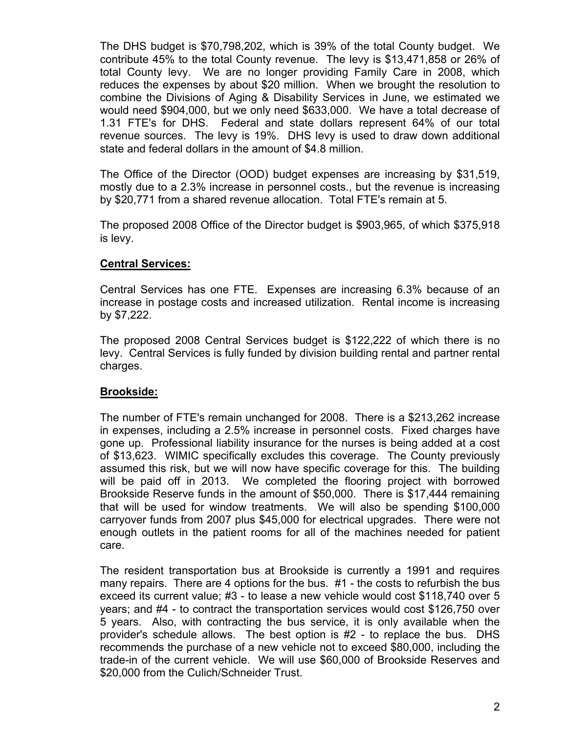The DHS budget is \$70,798,202, which is 39% of the total County budget. We contribute 45% to the total County revenue. The levy is \$13,471,858 or 26% of total County levy. We are no longer providing Family Care in 2008, which reduces the expenses by about \$20 million. When we brought the resolution to combine the Divisions of Aging & Disability Services in June, we estimated we would need \$904,000, but we only need \$633,000. We have a total decrease of 1.31 FTE's for DHS. Federal and state dollars represent 64% of our total revenue sources. The levy is 19%. DHS levy is used to draw down additional state and federal dollars in the amount of \$4.8 million.

The Office of the Director (OOD) budget expenses are increasing by \$31,519, mostly due to a 2.3% increase in personnel costs., but the revenue is increasing by \$20,771 from a shared revenue allocation. Total FTE's remain at 5.

The proposed 2008 Office of the Director budget is \$903,965, of which \$375,918 is levy.

# **Central Services:**

Central Services has one FTE. Expenses are increasing 6.3% because of an increase in postage costs and increased utilization. Rental income is increasing by \$7,222.

The proposed 2008 Central Services budget is \$122,222 of which there is no levy. Central Services is fully funded by division building rental and partner rental charges.

## **Brookside:**

The number of FTE's remain unchanged for 2008. There is a \$213,262 increase in expenses, including a 2.5% increase in personnel costs. Fixed charges have gone up. Professional liability insurance for the nurses is being added at a cost of \$13,623. WIMIC specifically excludes this coverage. The County previously assumed this risk, but we will now have specific coverage for this. The building will be paid off in 2013. We completed the flooring project with borrowed Brookside Reserve funds in the amount of \$50,000. There is \$17,444 remaining that will be used for window treatments. We will also be spending \$100,000 carryover funds from 2007 plus \$45,000 for electrical upgrades. There were not enough outlets in the patient rooms for all of the machines needed for patient care.

The resident transportation bus at Brookside is currently a 1991 and requires many repairs. There are 4 options for the bus. #1 - the costs to refurbish the bus exceed its current value; #3 - to lease a new vehicle would cost \$118,740 over 5 years; and #4 - to contract the transportation services would cost \$126,750 over 5 years. Also, with contracting the bus service, it is only available when the provider's schedule allows. The best option is #2 - to replace the bus. DHS recommends the purchase of a new vehicle not to exceed \$80,000, including the trade-in of the current vehicle. We will use \$60,000 of Brookside Reserves and \$20,000 from the Culich/Schneider Trust.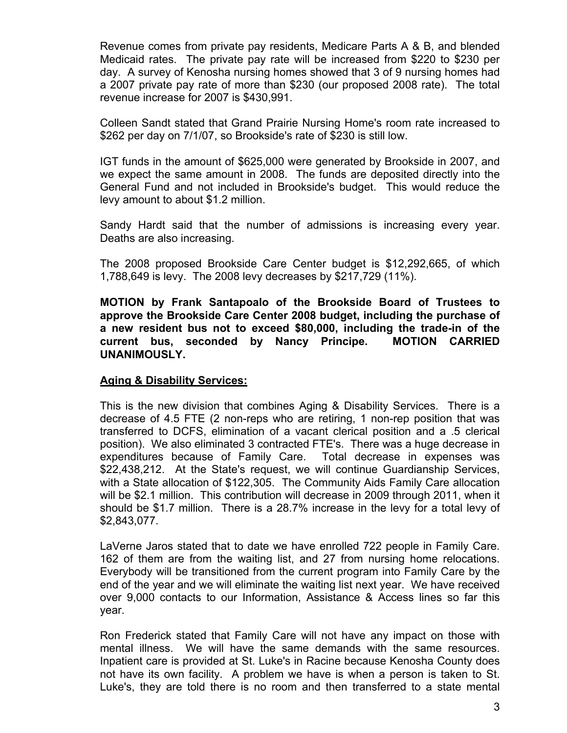Revenue comes from private pay residents, Medicare Parts A & B, and blended Medicaid rates. The private pay rate will be increased from \$220 to \$230 per day. A survey of Kenosha nursing homes showed that 3 of 9 nursing homes had a 2007 private pay rate of more than \$230 (our proposed 2008 rate). The total revenue increase for 2007 is \$430,991.

Colleen Sandt stated that Grand Prairie Nursing Home's room rate increased to \$262 per day on 7/1/07, so Brookside's rate of \$230 is still low.

IGT funds in the amount of \$625,000 were generated by Brookside in 2007, and we expect the same amount in 2008. The funds are deposited directly into the General Fund and not included in Brookside's budget. This would reduce the levy amount to about \$1.2 million.

Sandy Hardt said that the number of admissions is increasing every year. Deaths are also increasing.

The 2008 proposed Brookside Care Center budget is \$12,292,665, of which 1,788,649 is levy. The 2008 levy decreases by \$217,729 (11%).

**MOTION by Frank Santapoalo of the Brookside Board of Trustees to approve the Brookside Care Center 2008 budget, including the purchase of a new resident bus not to exceed \$80,000, including the trade-in of the current bus, seconded by Nancy Principe. MOTION CARRIED UNANIMOUSLY.**

## **Aging & Disability Services:**

This is the new division that combines Aging & Disability Services. There is a decrease of 4.5 FTE (2 non-reps who are retiring, 1 non-rep position that was transferred to DCFS, elimination of a vacant clerical position and a .5 clerical position). We also eliminated 3 contracted FTE's. There was a huge decrease in expenditures because of Family Care. Total decrease in expenses was \$22,438,212. At the State's request, we will continue Guardianship Services, with a State allocation of \$122,305. The Community Aids Family Care allocation will be \$2.1 million. This contribution will decrease in 2009 through 2011, when it should be \$1.7 million. There is a 28.7% increase in the levy for a total levy of \$2,843,077.

LaVerne Jaros stated that to date we have enrolled 722 people in Family Care. 162 of them are from the waiting list, and 27 from nursing home relocations. Everybody will be transitioned from the current program into Family Care by the end of the year and we will eliminate the waiting list next year. We have received over 9,000 contacts to our Information, Assistance & Access lines so far this year.

Ron Frederick stated that Family Care will not have any impact on those with mental illness. We will have the same demands with the same resources. Inpatient care is provided at St. Luke's in Racine because Kenosha County does not have its own facility. A problem we have is when a person is taken to St. Luke's, they are told there is no room and then transferred to a state mental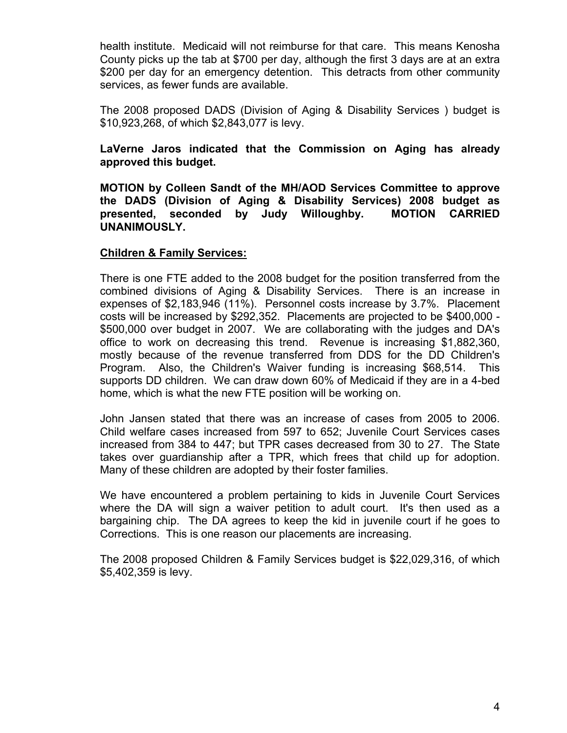health institute. Medicaid will not reimburse for that care. This means Kenosha County picks up the tab at \$700 per day, although the first 3 days are at an extra \$200 per day for an emergency detention. This detracts from other community services, as fewer funds are available.

The 2008 proposed DADS (Division of Aging & Disability Services ) budget is \$10,923,268, of which \$2,843,077 is levy.

# **LaVerne Jaros indicated that the Commission on Aging has already approved this budget.**

**MOTION by Colleen Sandt of the MH/AOD Services Committee to approve the DADS (Division of Aging & Disability Services) 2008 budget as presented, seconded by Judy Willoughby. MOTION CARRIED UNANIMOUSLY.**

## **Children & Family Services:**

There is one FTE added to the 2008 budget for the position transferred from the combined divisions of Aging & Disability Services. There is an increase in expenses of \$2,183,946 (11%). Personnel costs increase by 3.7%. Placement costs will be increased by \$292,352. Placements are projected to be \$400,000 - \$500,000 over budget in 2007. We are collaborating with the judges and DA's office to work on decreasing this trend. Revenue is increasing \$1,882,360, mostly because of the revenue transferred from DDS for the DD Children's Program. Also, the Children's Waiver funding is increasing \$68,514. This supports DD children. We can draw down 60% of Medicaid if they are in a 4-bed home, which is what the new FTE position will be working on.

John Jansen stated that there was an increase of cases from 2005 to 2006. Child welfare cases increased from 597 to 652; Juvenile Court Services cases increased from 384 to 447; but TPR cases decreased from 30 to 27. The State takes over guardianship after a TPR, which frees that child up for adoption. Many of these children are adopted by their foster families.

We have encountered a problem pertaining to kids in Juvenile Court Services where the DA will sign a waiver petition to adult court. It's then used as a bargaining chip. The DA agrees to keep the kid in juvenile court if he goes to Corrections. This is one reason our placements are increasing.

The 2008 proposed Children & Family Services budget is \$22,029,316, of which \$5,402,359 is levy.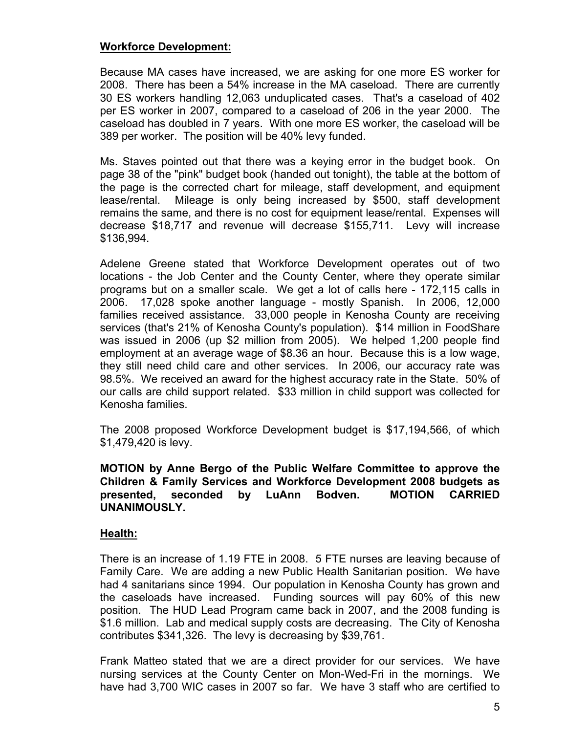#### **Workforce Development:**

Because MA cases have increased, we are asking for one more ES worker for 2008. There has been a 54% increase in the MA caseload. There are currently 30 ES workers handling 12,063 unduplicated cases. That's a caseload of 402 per ES worker in 2007, compared to a caseload of 206 in the year 2000. The caseload has doubled in 7 years. With one more ES worker, the caseload will be 389 per worker. The position will be 40% levy funded.

Ms. Staves pointed out that there was a keying error in the budget book. On page 38 of the "pink" budget book (handed out tonight), the table at the bottom of the page is the corrected chart for mileage, staff development, and equipment lease/rental. Mileage is only being increased by \$500, staff development remains the same, and there is no cost for equipment lease/rental. Expenses will decrease \$18,717 and revenue will decrease \$155,711. Levy will increase \$136,994.

Adelene Greene stated that Workforce Development operates out of two locations - the Job Center and the County Center, where they operate similar programs but on a smaller scale. We get a lot of calls here - 172,115 calls in 2006. 17,028 spoke another language - mostly Spanish. In 2006, 12,000 families received assistance. 33,000 people in Kenosha County are receiving services (that's 21% of Kenosha County's population). \$14 million in FoodShare was issued in 2006 (up \$2 million from 2005). We helped 1,200 people find employment at an average wage of \$8.36 an hour. Because this is a low wage, they still need child care and other services. In 2006, our accuracy rate was 98.5%. We received an award for the highest accuracy rate in the State. 50% of our calls are child support related. \$33 million in child support was collected for Kenosha families.

The 2008 proposed Workforce Development budget is \$17,194,566, of which \$1,479,420 is levy.

## **MOTION by Anne Bergo of the Public Welfare Committee to approve the Children & Family Services and Workforce Development 2008 budgets as presented, seconded by LuAnn Bodven. MOTION CARRIED UNANIMOUSLY.**

## **Health:**

There is an increase of 1.19 FTE in 2008. 5 FTE nurses are leaving because of Family Care. We are adding a new Public Health Sanitarian position. We have had 4 sanitarians since 1994. Our population in Kenosha County has grown and the caseloads have increased. Funding sources will pay 60% of this new position. The HUD Lead Program came back in 2007, and the 2008 funding is \$1.6 million. Lab and medical supply costs are decreasing. The City of Kenosha contributes \$341,326. The levy is decreasing by \$39,761.

Frank Matteo stated that we are a direct provider for our services. We have nursing services at the County Center on Mon-Wed-Fri in the mornings. We have had 3,700 WIC cases in 2007 so far. We have 3 staff who are certified to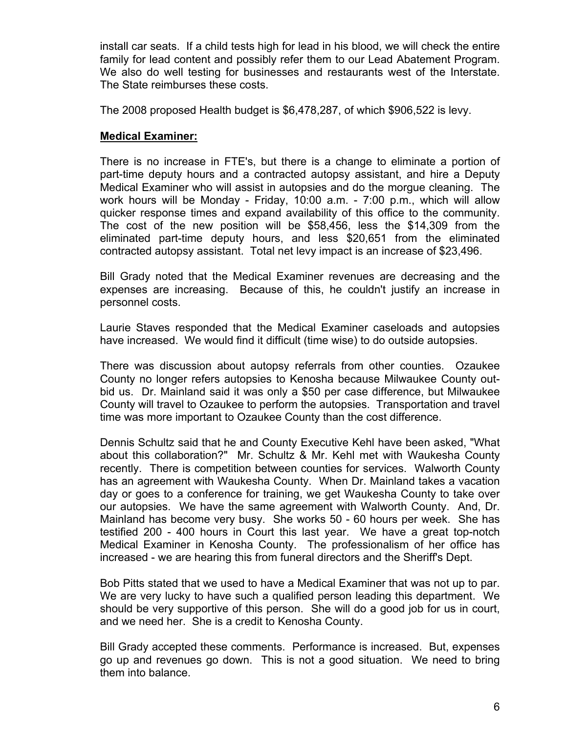install car seats. If a child tests high for lead in his blood, we will check the entire family for lead content and possibly refer them to our Lead Abatement Program. We also do well testing for businesses and restaurants west of the Interstate. The State reimburses these costs.

The 2008 proposed Health budget is \$6,478,287, of which \$906,522 is levy.

# **Medical Examiner:**

There is no increase in FTE's, but there is a change to eliminate a portion of part-time deputy hours and a contracted autopsy assistant, and hire a Deputy Medical Examiner who will assist in autopsies and do the morgue cleaning. The work hours will be Monday - Friday, 10:00 a.m. - 7:00 p.m., which will allow quicker response times and expand availability of this office to the community. The cost of the new position will be \$58,456, less the \$14,309 from the eliminated part-time deputy hours, and less \$20,651 from the eliminated contracted autopsy assistant. Total net levy impact is an increase of \$23,496.

Bill Grady noted that the Medical Examiner revenues are decreasing and the expenses are increasing. Because of this, he couldn't justify an increase in personnel costs.

Laurie Staves responded that the Medical Examiner caseloads and autopsies have increased. We would find it difficult (time wise) to do outside autopsies.

There was discussion about autopsy referrals from other counties. Ozaukee County no longer refers autopsies to Kenosha because Milwaukee County outbid us. Dr. Mainland said it was only a \$50 per case difference, but Milwaukee County will travel to Ozaukee to perform the autopsies. Transportation and travel time was more important to Ozaukee County than the cost difference.

Dennis Schultz said that he and County Executive Kehl have been asked, "What about this collaboration?" Mr. Schultz & Mr. Kehl met with Waukesha County recently. There is competition between counties for services. Walworth County has an agreement with Waukesha County. When Dr. Mainland takes a vacation day or goes to a conference for training, we get Waukesha County to take over our autopsies. We have the same agreement with Walworth County. And, Dr. Mainland has become very busy. She works 50 - 60 hours per week. She has testified 200 - 400 hours in Court this last year. We have a great top-notch Medical Examiner in Kenosha County. The professionalism of her office has increased - we are hearing this from funeral directors and the Sheriff's Dept.

Bob Pitts stated that we used to have a Medical Examiner that was not up to par. We are very lucky to have such a qualified person leading this department. We should be very supportive of this person. She will do a good job for us in court, and we need her. She is a credit to Kenosha County.

Bill Grady accepted these comments. Performance is increased. But, expenses go up and revenues go down. This is not a good situation. We need to bring them into balance.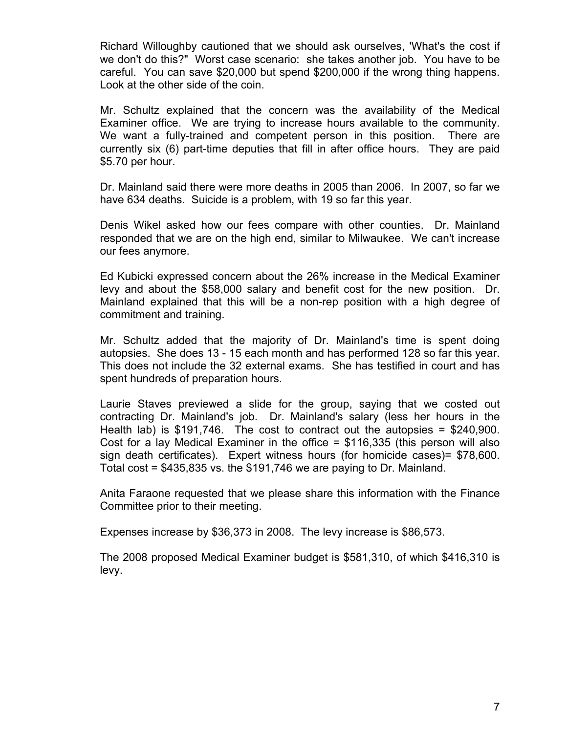Richard Willoughby cautioned that we should ask ourselves, 'What's the cost if we don't do this?" Worst case scenario: she takes another job. You have to be careful. You can save \$20,000 but spend \$200,000 if the wrong thing happens. Look at the other side of the coin.

Mr. Schultz explained that the concern was the availability of the Medical Examiner office. We are trying to increase hours available to the community. We want a fully-trained and competent person in this position. There are currently six (6) part-time deputies that fill in after office hours. They are paid \$5.70 per hour.

Dr. Mainland said there were more deaths in 2005 than 2006. In 2007, so far we have 634 deaths. Suicide is a problem, with 19 so far this year.

Denis Wikel asked how our fees compare with other counties. Dr. Mainland responded that we are on the high end, similar to Milwaukee. We can't increase our fees anymore.

Ed Kubicki expressed concern about the 26% increase in the Medical Examiner levy and about the \$58,000 salary and benefit cost for the new position. Dr. Mainland explained that this will be a non-rep position with a high degree of commitment and training.

Mr. Schultz added that the majority of Dr. Mainland's time is spent doing autopsies. She does 13 - 15 each month and has performed 128 so far this year. This does not include the 32 external exams. She has testified in court and has spent hundreds of preparation hours.

Laurie Staves previewed a slide for the group, saying that we costed out contracting Dr. Mainland's job. Dr. Mainland's salary (less her hours in the Health lab) is \$191,746. The cost to contract out the autopsies = \$240,900. Cost for a lay Medical Examiner in the office  $=$  \$116,335 (this person will also sign death certificates). Expert witness hours (for homicide cases)= \$78,600. Total cost =  $$435,835$  vs. the  $$191,746$  we are paying to Dr. Mainland.

Anita Faraone requested that we please share this information with the Finance Committee prior to their meeting.

Expenses increase by \$36,373 in 2008. The levy increase is \$86,573.

The 2008 proposed Medical Examiner budget is \$581,310, of which \$416,310 is levy.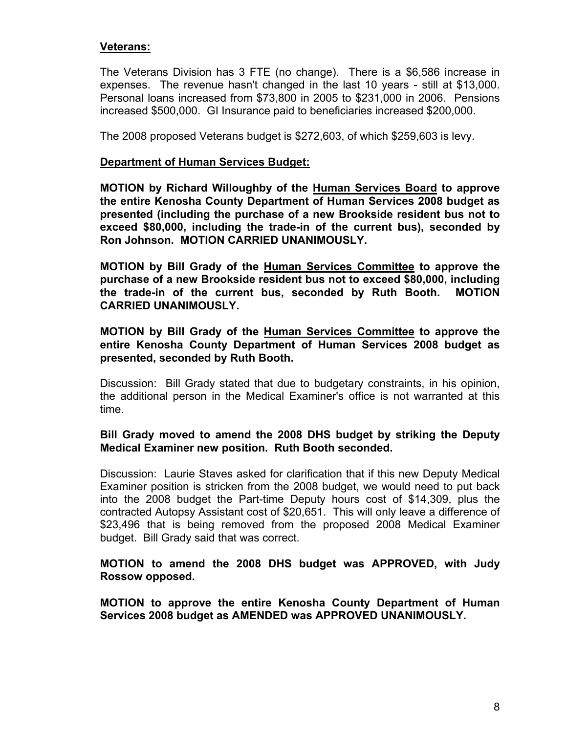## **Veterans:**

The Veterans Division has 3 FTE (no change). There is a \$6,586 increase in expenses. The revenue hasn't changed in the last 10 years - still at \$13,000. Personal loans increased from \$73,800 in 2005 to \$231,000 in 2006. Pensions increased \$500,000. GI Insurance paid to beneficiaries increased \$200,000.

The 2008 proposed Veterans budget is \$272,603, of which \$259,603 is levy.

#### **Department of Human Services Budget:**

**MOTION by Richard Willoughby of the Human Services Board to approve the entire Kenosha County Department of Human Services 2008 budget as presented (including the purchase of a new Brookside resident bus not to exceed \$80,000, including the trade-in of the current bus), seconded by Ron Johnson. MOTION CARRIED UNANIMOUSLY.**

**MOTION by Bill Grady of the Human Services Committee to approve the purchase of a new Brookside resident bus not to exceed \$80,000, including the trade-in of the current bus, seconded by Ruth Booth. MOTION CARRIED UNANIMOUSLY.**

## **MOTION by Bill Grady of the Human Services Committee to approve the entire Kenosha County Department of Human Services 2008 budget as presented, seconded by Ruth Booth.**

Discussion: Bill Grady stated that due to budgetary constraints, in his opinion, the additional person in the Medical Examiner's office is not warranted at this time.

## **Bill Grady moved to amend the 2008 DHS budget by striking the Deputy Medical Examiner new position. Ruth Booth seconded.**

Discussion: Laurie Staves asked for clarification that if this new Deputy Medical Examiner position is stricken from the 2008 budget, we would need to put back into the 2008 budget the Part-time Deputy hours cost of \$14,309, plus the contracted Autopsy Assistant cost of \$20,651. This will only leave a difference of \$23,496 that is being removed from the proposed 2008 Medical Examiner budget. Bill Grady said that was correct.

# **MOTION to amend the 2008 DHS budget was APPROVED, with Judy Rossow opposed.**

**MOTION to approve the entire Kenosha County Department of Human Services 2008 budget as AMENDED was APPROVED UNANIMOUSLY.**